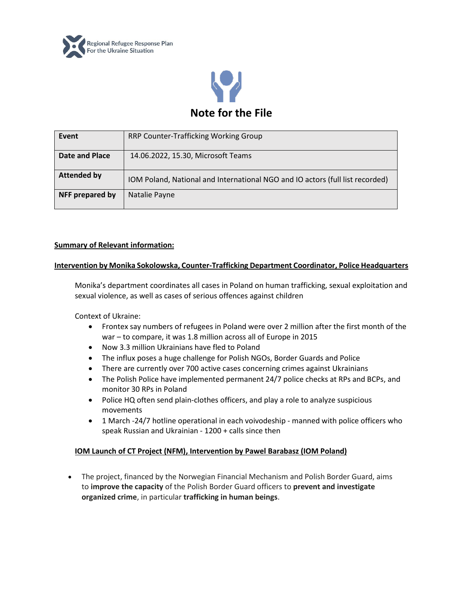



| Event              | RRP Counter-Trafficking Working Group                                         |
|--------------------|-------------------------------------------------------------------------------|
| Date and Place     | 14.06.2022, 15.30, Microsoft Teams                                            |
| <b>Attended by</b> | IOM Poland, National and International NGO and IO actors (full list recorded) |
| NFF prepared by    | Natalie Payne                                                                 |

# **Summary of Relevant information:**

#### **Intervention by Monika Sokolowska, Counter-Trafficking Department Coordinator, Police Headquarters**

Monika's department coordinates all cases in Poland on human trafficking, sexual exploitation and sexual violence, as well as cases of serious offences against children

Context of Ukraine:

- Frontex say numbers of refugees in Poland were over 2 million after the first month of the war – to compare, it was 1.8 million across all of Europe in 2015
- Now 3.3 million Ukrainians have fled to Poland
- The influx poses a huge challenge for Polish NGOs, Border Guards and Police
- There are currently over 700 active cases concerning crimes against Ukrainians
- The Polish Police have implemented permanent 24/7 police checks at RPs and BCPs, and monitor 30 RPs in Poland
- Police HQ often send plain-clothes officers, and play a role to analyze suspicious movements
- 1 March -24/7 hotline operational in each voivodeship manned with police officers who speak Russian and Ukrainian - 1200 + calls since then

## **IOM Launch of CT Project (NFM), Intervention by Pawel Barabasz (IOM Poland)**

• The project, financed by the Norwegian Financial Mechanism and Polish Border Guard, aims to **improve the capacity** of the Polish Border Guard officers to **prevent and investigate organized crime**, in particular **trafficking in human beings**.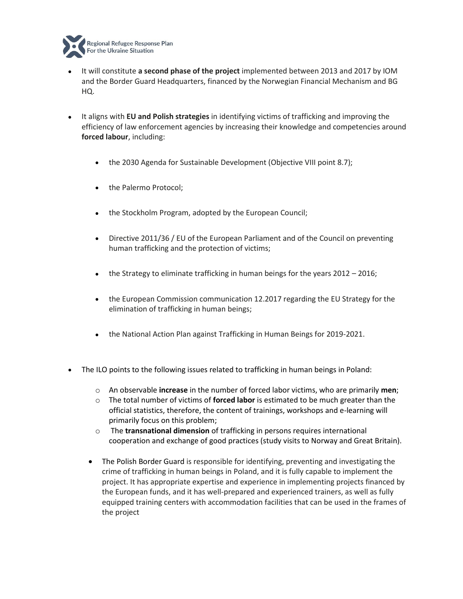

- It will constitute **a second phase of the project** implemented between 2013 and 2017 by IOM and the Border Guard Headquarters, financed by the Norwegian Financial Mechanism and BG HQ.
- It aligns with **EU and Polish strategies** in identifying victims of trafficking and improving the efficiency of law enforcement agencies by increasing their knowledge and competencies around **forced labour**, including:
	- the 2030 Agenda for Sustainable Development (Objective VIII point 8.7);
	- the Palermo Protocol;
	- the Stockholm Program, adopted by the European Council;
	- Directive 2011/36 / EU of the European Parliament and of the Council on preventing human trafficking and the protection of victims;
	- the Strategy to eliminate trafficking in human beings for the years 2012 2016;
	- the European Commission communication 12.2017 regarding the EU Strategy for the elimination of trafficking in human beings;
	- the National Action Plan against Trafficking in Human Beings for 2019-2021.
- The ILO points to the following issues related to trafficking in human beings in Poland:
	- o An observable **increase** in the number of forced labor victims, who are primarily **men**;
	- o The total number of victims of **forced labor** is estimated to be much greater than the official statistics, therefore, the content of trainings, workshops and e-learning will primarily focus on this problem;
	- o The **transnational dimension** of trafficking in persons requires international cooperation and exchange of good practices (study visits to Norway and Great Britain).
	- The Polish Border Guard is responsible for identifying, preventing and investigating the crime of trafficking in human beings in Poland, and it is fully capable to implement the project. It has appropriate expertise and experience in implementing projects financed by the European funds, and it has well-prepared and experienced trainers, as well as fully equipped training centers with accommodation facilities that can be used in the frames of the project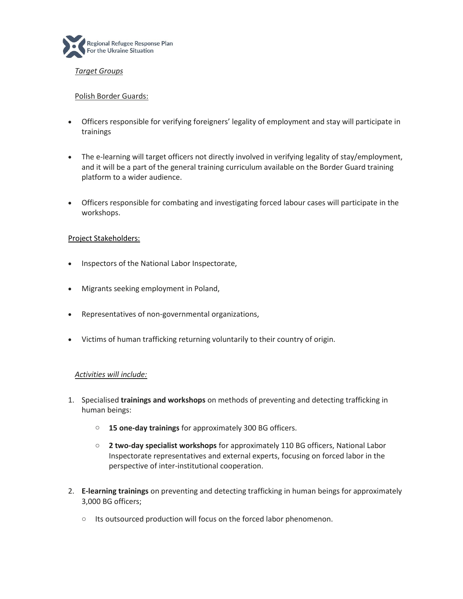

## *Target Groups*

## Polish Border Guards:

- Officers responsible for verifying foreigners' legality of employment and stay will participate in trainings
- The e-learning will target officers not directly involved in verifying legality of stay/employment, and it will be a part of the general training curriculum available on the Border Guard training platform to a wider audience.
- Officers responsible for combating and investigating forced labour cases will participate in the workshops.

## Project Stakeholders:

- Inspectors of the National Labor Inspectorate,
- Migrants seeking employment in Poland,
- Representatives of non-governmental organizations,
- Victims of human trafficking returning voluntarily to their country of origin.

## *Activities will include:*

- 1. Specialised **trainings and workshops** on methods of preventing and detecting trafficking in human beings:
	- o **15 one-day trainings** for approximately 300 BG officers.
	- o **2 two-day specialist workshops** for approximately 110 BG officers, National Labor Inspectorate representatives and external experts, focusing on forced labor in the perspective of inter-institutional cooperation.
- 2. **E-learning trainings** on preventing and detecting trafficking in human beings for approximately 3,000 BG officers;
	- o Its outsourced production will focus on the forced labor phenomenon.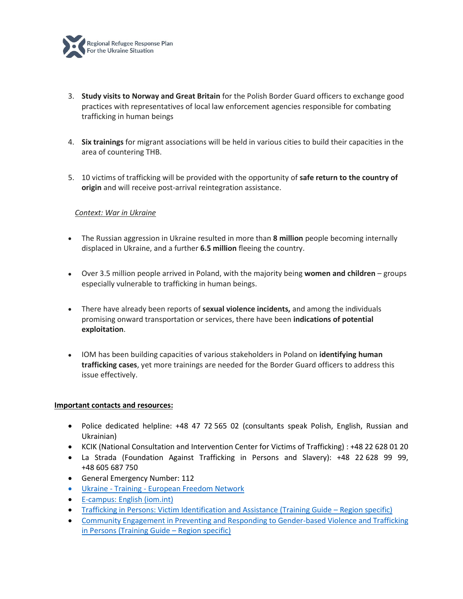

- 3. **Study visits to Norway and Great Britain** for the Polish Border Guard officers to exchange good practices with representatives of local law enforcement agencies responsible for combating trafficking in human beings
- 4. **Six trainings** for migrant associations will be held in various cities to build their capacities in the area of countering THB.
- 5. 10 victims of trafficking will be provided with the opportunity of **safe return to the country of origin** and will receive post-arrival reintegration assistance.

## *Context: War in Ukraine*

- The Russian aggression in Ukraine resulted in more than **8 million** people becoming internally displaced in Ukraine, and a further **6.5 million** fleeing the country.
- Over 3.5 million people arrived in Poland, with the majority being **women and children**  groups especially vulnerable to trafficking in human beings.
- There have already been reports of **sexual violence incidents,** and among the individuals promising onward transportation or services, there have been **indications of potential exploitation**.
- IOM has been building capacities of various stakeholders in Poland on **identifying human trafficking cases**, yet more trainings are needed for the Border Guard officers to address this issue effectively.

#### **Important contacts and resources:**

- Police dedicated helpline: +48 47 72 565 02 (consultants speak Polish, English, Russian and Ukrainian)
- KCIK (National Consultation and Intervention Center for Victims of Trafficking) : +48 22 628 01 20
- La Strada (Foundation Against Trafficking in Persons and Slavery): +48 22 628 99 99, +48 605 687 750
- General Emergency Number: 112
- Ukraine Training [European Freedom Network](https://www.europeanfreedomnetwork.org/ukraine-training/)
- [E-campus: English \(iom.int\)](https://www.ecampus.iom.int/course/index.php?categoryid=55)
- [Trafficking in Persons: Victim Identification and Assistance \(Training Guide](https://publications.iom.int/books/trafficking-persons-victim-identification-and-assistance-training-guide)  Region specific)
- [Community Engagement in Preventing and Responding to Gender-based Violence and Trafficking](https://publications.iom.int/books/community-engagement-preventing-and-responding-gender-based-violence-and-trafficking-persons)  [in Persons \(Training Guide](https://publications.iom.int/books/community-engagement-preventing-and-responding-gender-based-violence-and-trafficking-persons) – Region specific)